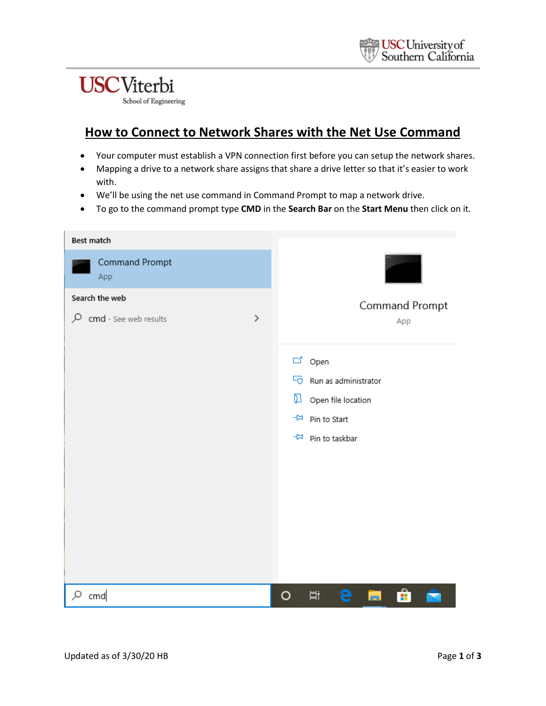## **USC**Viterbi

School of Engineering

## **How to Connect to Network Shares with the Net Use Command**

- Your computer must establish a VPN connection first before you can setup the network shares.
- Mapping a drive to a network share assigns that share a drive letter so that it's easier to work with.
- We'll be using the net use command in Command Prompt to map a network drive.
- To go to the command prompt type **CMD** in the **Search Bar** on the **Start Menu** then click on it.

| Best match                 |      |                                      |
|----------------------------|------|--------------------------------------|
| Command Prompt<br>App      |      |                                      |
| Search the web             |      | Command Prompt                       |
| ₽<br>cmd - See web results | $\,$ | App                                  |
|                            |      |                                      |
|                            |      | d' Open                              |
|                            |      | Run as administrator                 |
|                            |      | $\Box$ Open file location            |
|                            |      | -H Pin to Start                      |
|                            |      | Pin to taskbar                       |
|                            |      |                                      |
|                            |      |                                      |
|                            |      |                                      |
|                            |      |                                      |
|                            |      |                                      |
|                            |      |                                      |
|                            |      |                                      |
| cmd                        |      | û<br>闫.<br>$\circ$<br>e<br><b>In</b> |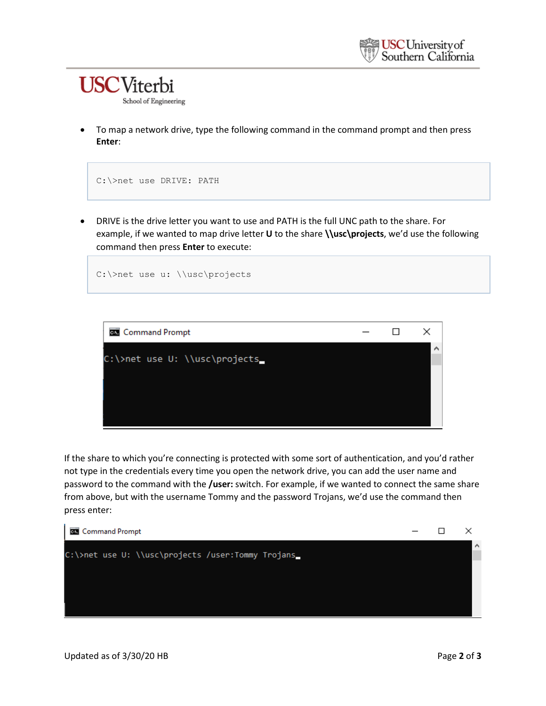

• To map a network drive, type the following command in the command prompt and then press **Enter**:



• DRIVE is the drive letter you want to use and PATH is the full UNC path to the share. For example, if we wanted to map drive letter **U** to the share **\\usc\projects**, we'd use the following command then press **Enter** to execute:



If the share to which you're connecting is protected with some sort of authentication, and you'd rather not type in the credentials every time you open the network drive, you can add the user name and password to the command with the **/user:** switch. For example, if we wanted to connect the same share from above, but with the username Tommy and the password Trojans, we'd use the command then press enter:

| <b>Command Prompt</b>                             |  |    |
|---------------------------------------------------|--|----|
| C:\>net use U: \\usc\projects /user:Tommy Trojans |  | ∣∧ |
|                                                   |  |    |
|                                                   |  |    |
|                                                   |  |    |